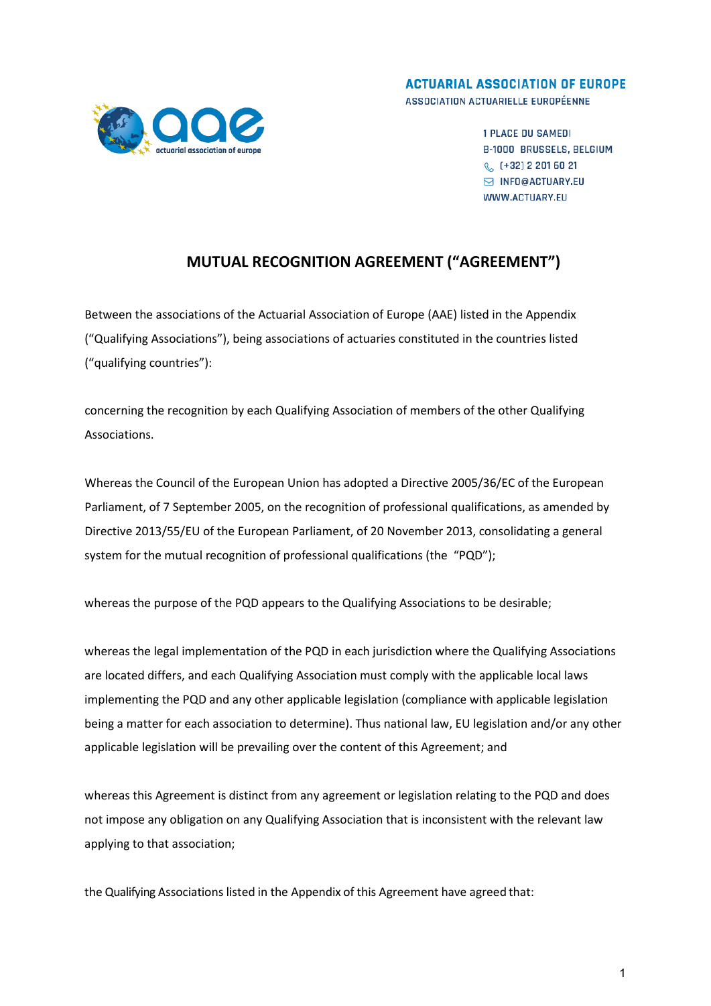

**ACTUARIAL ASSOCIATION OF EUROPE** ASSOCIATION ACTUARIELLE EUROPÉENNE

> **1 PLACE DU SAMEDI B-1000 BRUSSELS, BELGIUM** € (+32) 2 201 60 21 M INFO@ACTUARY.EU WWW.ACTUARY.EU

## **MUTUAL RECOGNITION AGREEMENT ("AGREEMENT")**

Between the associations of the Actuarial Association of Europe (AAE) listed in the Appendix ("Qualifying Associations"), being associations of actuaries constituted in the countries listed ("qualifying countries"):

concerning the recognition by each Qualifying Association of members of the other Qualifying Associations.

Whereas the Council of the European Union has adopted a Directive 2005/36/EC of the European Parliament, of 7 September 2005, on the recognition of professional qualifications, as amended by Directive 2013/55/EU of the European Parliament, of 20 November 2013, consolidating a general system for the mutual recognition of professional qualifications (the "PQD");

whereas the purpose of the PQD appears to the Qualifying Associations to be desirable;

whereas the legal implementation of the PQD in each jurisdiction where the Qualifying Associations are located differs, and each Qualifying Association must comply with the applicable local laws implementing the PQD and any other applicable legislation (compliance with applicable legislation being a matter for each association to determine). Thus national law, EU legislation and/or any other applicable legislation will be prevailing over the content of this Agreement; and

whereas this Agreement is distinct from any agreement or legislation relating to the PQD and does not impose any obligation on any Qualifying Association that is inconsistent with the relevant law applying to that association;

the Qualifying Associations listed in the Appendix of this Agreement have agreed that: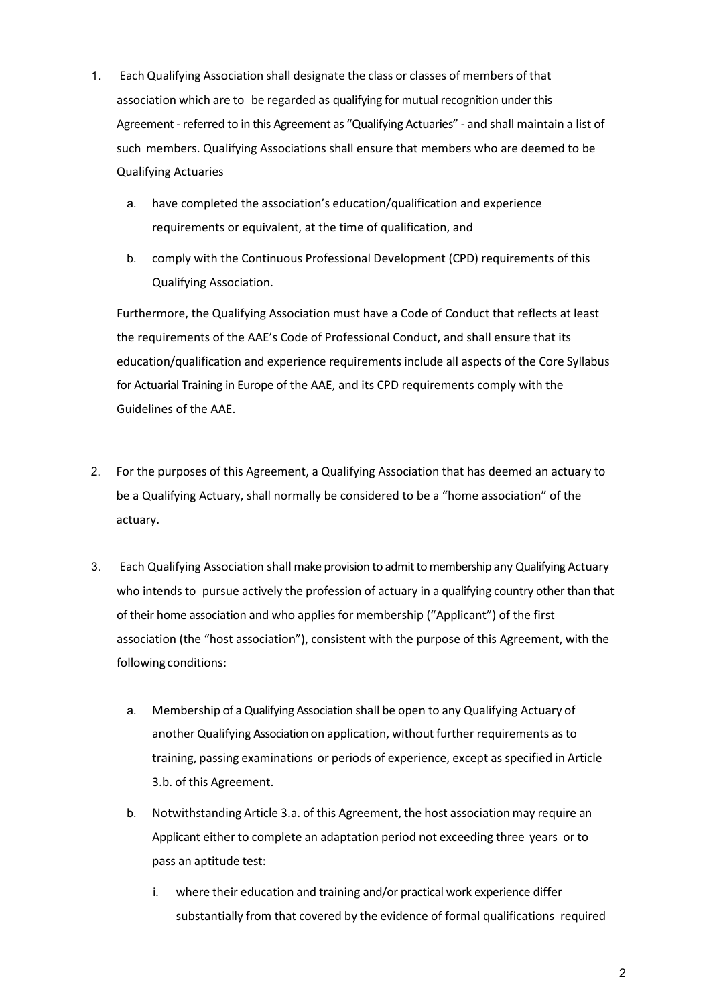- 1. Each Qualifying Association shall designate the class or classes of members of that association which are to be regarded as qualifying for mutual recognition under this Agreement - referred to in this Agreement as "Qualifying Actuaries" - and shall maintain a list of such members. Qualifying Associations shall ensure that members who are deemed to be Qualifying Actuaries
	- a. have completed the association's education/qualification and experience requirements or equivalent, at the time of qualification, and
	- b. comply with the Continuous Professional Development (CPD) requirements of this Qualifying Association.

Furthermore, the Qualifying Association must have a Code of Conduct that reflects at least the requirements of the AAE's Code of Professional Conduct, and shall ensure that its education/qualification and experience requirements include all aspects of the Core Syllabus for Actuarial Training in Europe of the AAE, and its CPD requirements comply with the Guidelines of the AAE.

- 2. For the purposes of this Agreement, a Qualifying Association that has deemed an actuary to be a Qualifying Actuary, shall normally be considered to be a "home association" of the actuary.
- 3. Each Qualifying Association shall make provision to admit to membership any Qualifying Actuary who intends to pursue actively the profession of actuary in a qualifying country other than that of their home association and who applies for membership ("Applicant") of the first association (the "host association"), consistent with the purpose of this Agreement, with the following conditions:
	- a. Membership of a Qualifying Association shall be open to any Qualifying Actuary of another Qualifying Association on application, without further requirements as to training, passing examinations or periods of experience, except as specified in Article 3.b. of this Agreement.
	- b. Notwithstanding Article 3.a. of this Agreement, the host association may require an Applicant either to complete an adaptation period not exceeding three years or to pass an aptitude test:
		- i. where their education and training and/or practical work experience differ substantially from that covered by the evidence of formal qualifications required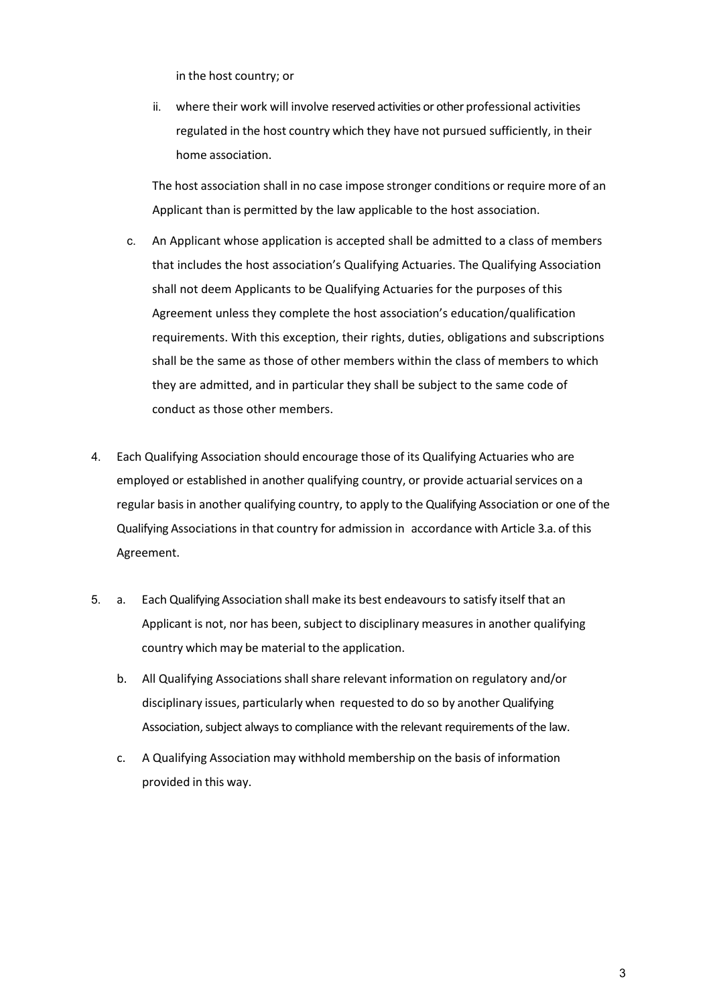in the host country; or

ii. where their work will involve reserved activities or other professional activities regulated in the host country which they have not pursued sufficiently, in their home association.

The host association shall in no case impose stronger conditions or require more of an Applicant than is permitted by the law applicable to the host association.

- c. An Applicant whose application is accepted shall be admitted to a class of members that includes the host association's Qualifying Actuaries. The Qualifying Association shall not deem Applicants to be Qualifying Actuaries for the purposes of this Agreement unless they complete the host association's education/qualification requirements. With this exception, their rights, duties, obligations and subscriptions shall be the same as those of other members within the class of members to which they are admitted, and in particular they shall be subject to the same code of conduct as those other members.
- 4. Each Qualifying Association should encourage those of its Qualifying Actuaries who are employed or established in another qualifying country, or provide actuarial services on a regular basis in another qualifying country, to apply to the Qualifying Association or one of the Qualifying Associations in that country for admission in accordance with Article 3.a. of this Agreement.
- 5. a. Each Qualifying Association shall make its best endeavours to satisfy itself that an Applicant is not, nor has been, subject to disciplinary measures in another qualifying country which may be material to the application.
	- b. All Qualifying Associations shall share relevant information on regulatory and/or disciplinary issues, particularly when requested to do so by another Qualifying Association, subject always to compliance with the relevant requirements of the law.
	- c. A Qualifying Association may withhold membership on the basis of information provided in this way.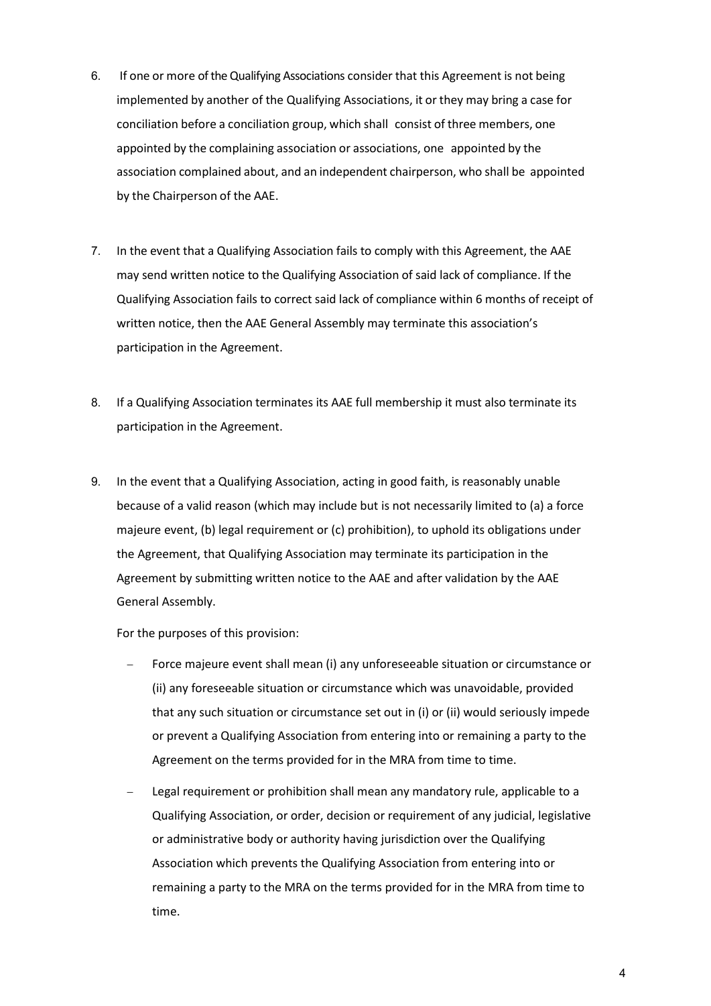- 6. If one or more of the Qualifying Associations consider that this Agreement is not being implemented by another of the Qualifying Associations, it or they may bring a case for conciliation before a conciliation group, which shall consist of three members, one appointed by the complaining association or associations, one appointed by the association complained about, and an independent chairperson, who shall be appointed by the Chairperson of the AAE.
- 7. In the event that a Qualifying Association fails to comply with this Agreement, the AAE may send written notice to the Qualifying Association of said lack of compliance. If the Qualifying Association fails to correct said lack of compliance within 6 months of receipt of written notice, then the AAE General Assembly may terminate this association's participation in the Agreement.
- 8. If a Qualifying Association terminates its AAE full membership it must also terminate its participation in the Agreement.
- 9. In the event that a Qualifying Association, acting in good faith, is reasonably unable because of a valid reason (which may include but is not necessarily limited to (a) a force majeure event, (b) legal requirement or (c) prohibition), to uphold its obligations under the Agreement, that Qualifying Association may terminate its participation in the Agreement by submitting written notice to the AAE and after validation by the AAE General Assembly.

For the purposes of this provision:

- − Force majeure event shall mean (i) any unforeseeable situation or circumstance or (ii) any foreseeable situation or circumstance which was unavoidable, provided that any such situation or circumstance set out in (i) or (ii) would seriously impede or prevent a Qualifying Association from entering into or remaining a party to the Agreement on the terms provided for in the MRA from time to time.
- Legal requirement or prohibition shall mean any mandatory rule, applicable to a Qualifying Association, or order, decision or requirement of any judicial, legislative or administrative body or authority having jurisdiction over the Qualifying Association which prevents the Qualifying Association from entering into or remaining a party to the MRA on the terms provided for in the MRA from time to time.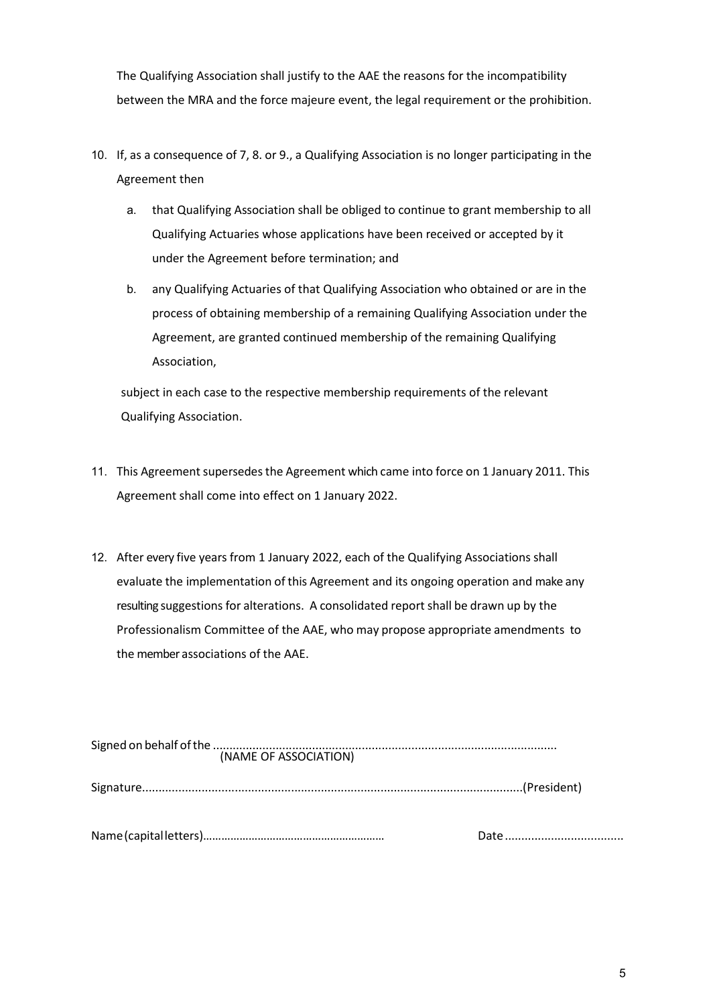The Qualifying Association shall justify to the AAE the reasons for the incompatibility between the MRA and the force majeure event, the legal requirement or the prohibition.

- 10. If, as a consequence of 7, 8. or 9., a Qualifying Association is no longer participating in the Agreement then
	- a. that Qualifying Association shall be obliged to continue to grant membership to all Qualifying Actuaries whose applications have been received or accepted by it under the Agreement before termination; and
	- b. any Qualifying Actuaries of that Qualifying Association who obtained or are in the process of obtaining membership of a remaining Qualifying Association under the Agreement, are granted continued membership of the remaining Qualifying Association,

subject in each case to the respective membership requirements of the relevant Qualifying Association.

- 11. This Agreement supersedes the Agreement which came into force on 1 January 2011. This Agreement shall come into effect on 1 January 2022.
- 12. After every five years from 1 January 2022, each of the Qualifying Associations shall evaluate the implementation of this Agreement and its ongoing operation and make any resulting suggestions for alterations. A consolidated report shall be drawn up by the Professionalism Committee of the AAE, who may propose appropriate amendments to the member associations of the AAE.